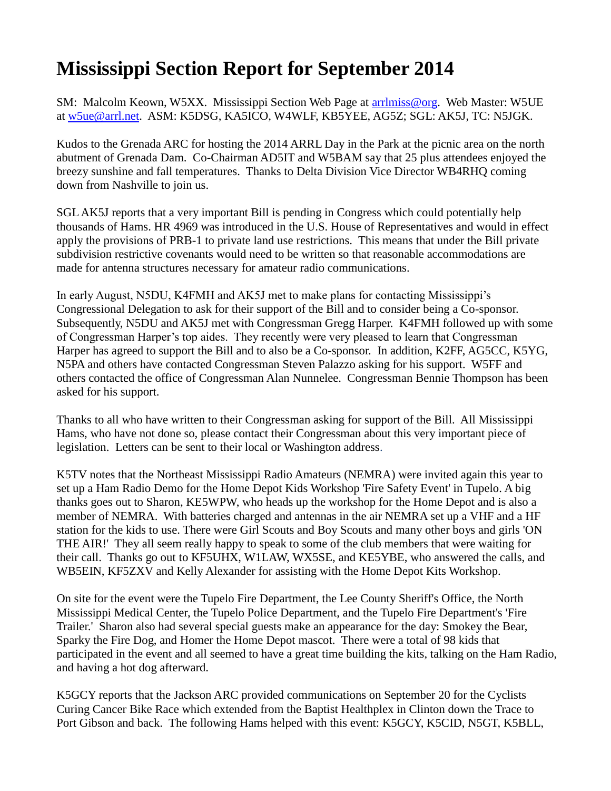## **Mississippi Section Report for September 2014**

SM: Malcolm Keown, W5XX. Mississippi Section Web Page at arrimiss@org. Web Master: W5UE at [w5ue@arrl.net.](mailto:w5ue@arrl.net) ASM: K5DSG, KA5ICO, W4WLF, KB5YEE, AG5Z; SGL: AK5J, TC: N5JGK.

Kudos to the Grenada ARC for hosting the 2014 ARRL Day in the Park at the picnic area on the north abutment of Grenada Dam. Co-Chairman AD5IT and W5BAM say that 25 plus attendees enjoyed the breezy sunshine and fall temperatures. Thanks to Delta Division Vice Director WB4RHQ coming down from Nashville to join us.

SGL AK5J reports that a very important Bill is pending in Congress which could potentially help thousands of Hams. HR 4969 was introduced in the U.S. House of Representatives and would in effect apply the provisions of PRB-1 to private land use restrictions. This means that under the Bill private subdivision restrictive covenants would need to be written so that reasonable accommodations are made for antenna structures necessary for amateur radio communications.

In early August, N5DU, K4FMH and AK5J met to make plans for contacting Mississippi's Congressional Delegation to ask for their support of the Bill and to consider being a Co-sponsor. Subsequently, N5DU and AK5J met with Congressman Gregg Harper. K4FMH followed up with some of Congressman Harper's top aides. They recently were very pleased to learn that Congressman Harper has agreed to support the Bill and to also be a Co-sponsor. In addition, K2FF, AG5CC, K5YG, N5PA and others have contacted Congressman Steven Palazzo asking for his support. W5FF and others contacted the office of Congressman Alan Nunnelee. Congressman Bennie Thompson has been asked for his support.

Thanks to all who have written to their Congressman asking for support of the Bill. All Mississippi Hams, who have not done so, please contact their Congressman about this very important piece of legislation. Letters can be sent to their local or Washington address.

K5TV notes that the Northeast Mississippi Radio Amateurs (NEMRA) were invited again this year to set up a Ham Radio Demo for the Home Depot Kids Workshop 'Fire Safety Event' in Tupelo. A big thanks goes out to Sharon, KE5WPW, who heads up the workshop for the Home Depot and is also a member of NEMRA. With batteries charged and antennas in the air NEMRA set up a VHF and a HF station for the kids to use. There were Girl Scouts and Boy Scouts and many other boys and girls 'ON THE AIR!' They all seem really happy to speak to some of the club members that were waiting for their call. Thanks go out to KF5UHX, W1LAW, WX5SE, and KE5YBE, who answered the calls, and WB5EIN, KF5ZXV and Kelly Alexander for assisting with the Home Depot Kits Workshop.

On site for the event were the Tupelo Fire Department, the Lee County Sheriff's Office, the North Mississippi Medical Center, the Tupelo Police Department, and the Tupelo Fire Department's 'Fire Trailer.' Sharon also had several special guests make an appearance for the day: Smokey the Bear, Sparky the Fire Dog, and Homer the Home Depot mascot. There were a total of 98 kids that participated in the event and all seemed to have a great time building the kits, talking on the Ham Radio, and having a hot dog afterward.

K5GCY reports that the Jackson ARC provided communications on September 20 for the Cyclists Curing Cancer Bike Race which extended from the Baptist Healthplex in Clinton down the Trace to Port Gibson and back. The following Hams helped with this event: K5GCY, K5CID, N5GT, K5BLL,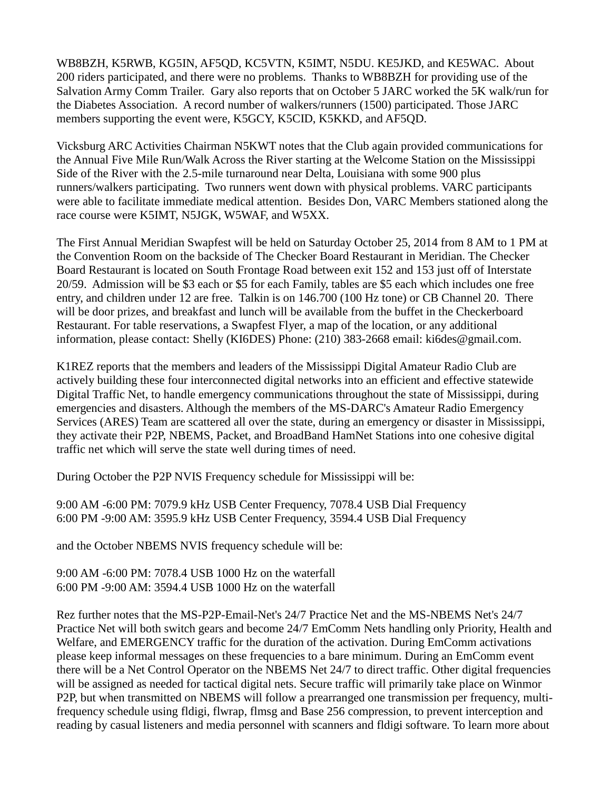WB8BZH, K5RWB, KG5IN, AF5QD, KC5VTN, K5IMT, N5DU. KE5JKD, and KE5WAC. About 200 riders participated, and there were no problems. Thanks to WB8BZH for providing use of the Salvation Army Comm Trailer. Gary also reports that on October 5 JARC worked the 5K walk/run for the Diabetes Association. A record number of walkers/runners (1500) participated. Those JARC members supporting the event were, K5GCY, K5CID, K5KKD, and AF5QD.

Vicksburg ARC Activities Chairman N5KWT notes that the Club again provided communications for the Annual Five Mile Run/Walk Across the River starting at the Welcome Station on the Mississippi Side of the River with the 2.5-mile turnaround near Delta, Louisiana with some 900 plus runners/walkers participating. Two runners went down with physical problems. VARC participants were able to facilitate immediate medical attention. Besides Don, VARC Members stationed along the race course were K5IMT, N5JGK, W5WAF, and W5XX.

The First Annual Meridian Swapfest will be held on Saturday October 25, 2014 from 8 AM to 1 PM at the Convention Room on the backside of The Checker Board Restaurant in Meridian. The Checker Board Restaurant is located on South Frontage Road between exit 152 and 153 just off of Interstate 20/59. Admission will be \$3 each or \$5 for each Family, tables are \$5 each which includes one free entry, and children under 12 are free. Talkin is on 146.700 (100 Hz tone) or CB Channel 20. There will be door prizes, and breakfast and lunch will be available from the buffet in the Checkerboard Restaurant. For table reservations, a Swapfest Flyer, a map of the location, or any additional information, please contact: Shelly (KI6DES) Phone: (210) 383-2668 email: [ki6des@gmail.com.](mailto:ki6des@gmail.com)

K1REZ reports that the members and leaders of the Mississippi Digital Amateur Radio Club are actively building these four interconnected digital networks into an efficient and effective statewide Digital Traffic Net, to handle emergency communications throughout the state of Mississippi, during emergencies and disasters. Although the members of the MS-DARC's Amateur Radio Emergency Services (ARES) Team are scattered all over the state, during an emergency or disaster in Mississippi, they activate their P2P, NBEMS, Packet, and BroadBand HamNet Stations into one cohesive digital traffic net which will serve the state well during times of need.

During October the P2P NVIS Frequency schedule for Mississippi will be:

9:00 AM -6:00 PM: 7079.9 kHz USB Center Frequency, 7078.4 USB Dial Frequency 6:00 PM -9:00 AM: 3595.9 kHz USB Center Frequency, 3594.4 USB Dial Frequency

and the October NBEMS NVIS frequency schedule will be:

9:00 AM -6:00 PM: 7078.4 USB 1000 Hz on the waterfall 6:00 PM -9:00 AM: 3594.4 USB 1000 Hz on the waterfall

Rez further notes that the MS-P2P-Email-Net's 24/7 Practice Net and the MS-NBEMS Net's 24/7 Practice Net will both switch gears and become 24/7 EmComm Nets handling only Priority, Health and Welfare, and EMERGENCY traffic for the duration of the activation. During EmComm activations please keep informal messages on these frequencies to a bare minimum. During an EmComm event there will be a Net Control Operator on the NBEMS Net 24/7 to direct traffic. Other digital frequencies will be assigned as needed for tactical digital nets. Secure traffic will primarily take place on Winmor P2P, but when transmitted on NBEMS will follow a prearranged one transmission per frequency, multifrequency schedule using fldigi, flwrap, flmsg and Base 256 compression, to prevent interception and reading by casual listeners and media personnel with scanners and fldigi software. To learn more about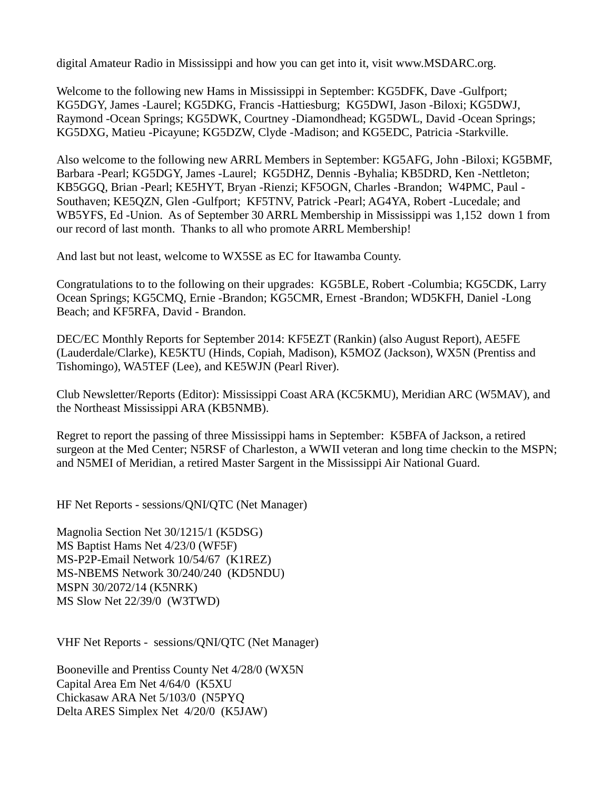digital Amateur Radio in Mississippi and how you can get into it, visit [www.MSDARC.org.](http://www.msdarc.org/)

Welcome to the following new Hams in Mississippi in September: KG5DFK, Dave -Gulfport; KG5DGY, James -Laurel; KG5DKG, Francis -Hattiesburg; KG5DWI, Jason -Biloxi; KG5DWJ, Raymond -Ocean Springs; KG5DWK, Courtney -Diamondhead; KG5DWL, David -Ocean Springs; KG5DXG, Matieu -Picayune; KG5DZW, Clyde -Madison; and KG5EDC, Patricia -Starkville.

Also welcome to the following new ARRL Members in September: KG5AFG, John -Biloxi; KG5BMF, Barbara -Pearl; KG5DGY, James -Laurel; KG5DHZ, Dennis -Byhalia; KB5DRD, Ken -Nettleton; KB5GGQ, Brian -Pearl; KE5HYT, Bryan -Rienzi; KF5OGN, Charles -Brandon; W4PMC, Paul - Southaven; KE5QZN, Glen -Gulfport; KF5TNV, Patrick -Pearl; AG4YA, Robert -Lucedale; and WB5YFS, Ed -Union. As of September 30 ARRL Membership in Mississippi was 1,152 down 1 from our record of last month. Thanks to all who promote ARRL Membership!

And last but not least, welcome to WX5SE as EC for Itawamba County.

Congratulations to to the following on their upgrades: KG5BLE, Robert -Columbia; KG5CDK, Larry Ocean Springs; KG5CMQ, Ernie -Brandon; KG5CMR, Ernest -Brandon; WD5KFH, Daniel -Long Beach; and KF5RFA, David - Brandon.

DEC/EC Monthly Reports for September 2014: KF5EZT (Rankin) (also August Report), AE5FE (Lauderdale/Clarke), KE5KTU (Hinds, Copiah, Madison), K5MOZ (Jackson), WX5N (Prentiss and Tishomingo), WA5TEF (Lee), and KE5WJN (Pearl River).

Club Newsletter/Reports (Editor): Mississippi Coast ARA (KC5KMU), Meridian ARC (W5MAV), and the Northeast Mississippi ARA (KB5NMB).

Regret to report the passing of three Mississippi hams in September: K5BFA of Jackson, a retired surgeon at the Med Center; N5RSF of Charleston, a WWII veteran and long time checkin to the MSPN; and N5MEI of Meridian, a retired Master Sargent in the Mississippi Air National Guard.

HF Net Reports - sessions/QNI/QTC (Net Manager)

Magnolia Section Net 30/1215/1 (K5DSG) MS Baptist Hams Net 4/23/0 (WF5F) MS-P2P-Email Network 10/54/67 (K1REZ) MS-NBEMS Network 30/240/240 (KD5NDU) MSPN 30/2072/14 (K5NRK) MS Slow Net 22/39/0 (W3TWD)

VHF Net Reports - sessions/QNI/QTC (Net Manager)

Booneville and Prentiss County Net 4/28/0 (WX5N Capital Area Em Net 4/64/0 (K5XU Chickasaw ARA Net 5/103/0 (N5PYQ Delta ARES Simplex Net 4/20/0 (K5JAW)